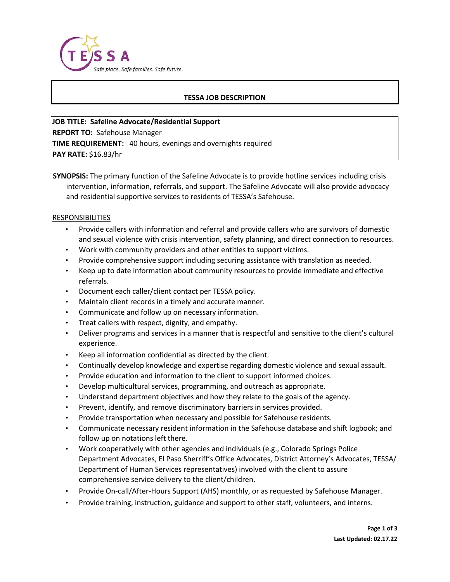

## **TESSA JOB DESCRIPTION**

**JOB TITLE: Safeline Advocate/Residential Support REPORT TO:** Safehouse Manager **TIME REQUIREMENT:** 40 hours, evenings and overnights required **PAY RATE:** \$16.83/hr

**SYNOPSIS:** The primary function of the Safeline Advocate is to provide hotline services including crisis intervention, information, referrals, and support. The Safeline Advocate will also provide advocacy and residential supportive services to residents of TESSA's Safehouse.

#### RESPONSIBILITIES

- Provide callers with information and referral and provide callers who are survivors of domestic and sexual violence with crisis intervention, safety planning, and direct connection to resources.
- Work with community providers and other entities to support victims.
- Provide comprehensive support including securing assistance with translation as needed.
- Keep up to date information about community resources to provide immediate and effective referrals.
- Document each caller/client contact per TESSA policy.
- Maintain client records in a timely and accurate manner.
- Communicate and follow up on necessary information.
- Treat callers with respect, dignity, and empathy.
- Deliver programs and services in a manner that is respectful and sensitive to the client's cultural experience.
- Keep all information confidential as directed by the client.
- Continually develop knowledge and expertise regarding domestic violence and sexual assault.
- Provide education and information to the client to support informed choices.
- Develop multicultural services, programming, and outreach as appropriate.
- Understand department objectives and how they relate to the goals of the agency.
- Prevent, identify, and remove discriminatory barriers in services provided.
- Provide transportation when necessary and possible for Safehouse residents.
- Communicate necessary resident information in the Safehouse database and shift logbook; and follow up on notations left there.
- Work cooperatively with other agencies and individuals (e.g., Colorado Springs Police Department Advocates, El Paso Sherriff's Office Advocates, District Attorney's Advocates, TESSA/ Department of Human Services representatives) involved with the client to assure comprehensive service delivery to the client/children.
- Provide On-call/After-Hours Support (AHS) monthly, or as requested by Safehouse Manager.
- Provide training, instruction, guidance and support to other staff, volunteers, and interns.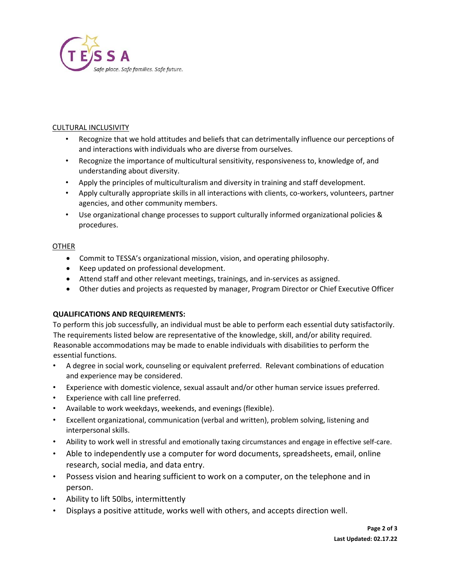

## CULTURAL INCLUSIVITY

- Recognize that we hold attitudes and beliefs that can detrimentally influence our perceptions of and interactions with individuals who are diverse from ourselves.
- Recognize the importance of multicultural sensitivity, responsiveness to, knowledge of, and understanding about diversity.
- Apply the principles of multiculturalism and diversity in training and staff development.
- Apply culturally appropriate skills in all interactions with clients, co-workers, volunteers, partner agencies, and other community members.
- Use organizational change processes to support culturally informed organizational policies & procedures.

# OTHER

- Commit to TESSA's organizational mission, vision, and operating philosophy.
- Keep updated on professional development.
- Attend staff and other relevant meetings, trainings, and in-services as assigned.
- Other duties and projects as requested by manager, Program Director or Chief Executive Officer

#### **QUALIFICATIONS AND REQUIREMENTS:**

To perform this job successfully, an individual must be able to perform each essential duty satisfactorily. The requirements listed below are representative of the knowledge, skill, and/or ability required. Reasonable accommodations may be made to enable individuals with disabilities to perform the essential functions.

- A degree in social work, counseling or equivalent preferred. Relevant combinations of education and experience may be considered.
- Experience with domestic violence, sexual assault and/or other human service issues preferred.
- Experience with call line preferred.
- Available to work weekdays, weekends, and evenings (flexible).
- Excellent organizational, communication (verbal and written), problem solving, listening and interpersonal skills.
- Ability to work well in stressful and emotionally taxing circumstances and engage in effective self-care.
- Able to independently use a computer for word documents, spreadsheets, email, online research, social media, and data entry.
- Possess vision and hearing sufficient to work on a computer, on the telephone and in person.
- Ability to lift 50lbs, intermittently
- Displays a positive attitude, works well with others, and accepts direction well.